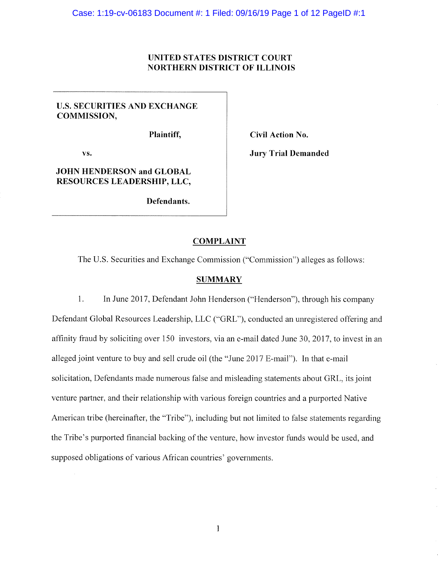## UNITED STATES DISTRICT COURT NORTHERN DISTRICT OF ILLINOIS

# U.S. SECURITIES AND EXCHANGE COMMISSION,

Plaintiff,

vs.

Civil Action No.

**Jury Trial Demanded** 

# JOHN HENDERSON and GLOBAL RESOURCES LEADERSHIP, LLC,

Defendants.

## COMPLAINT

The U,S. Securities and Exchange Commission ("Commission") alleges as follows:

#### **SUMMARY**

1. In June 2017, Defendant John Henderson ("Henderson"), through his company Defendant Global Resources Leadership, LLC ("GRL"), conducted an unregistered offering and affinity fraud by soliciting over 150 investors, via an e-mail dated June 30, 2017, to invest in an alleged joint venture to buy and sell crude oil (the "June 2017 E-mail"). In that e-mail solicitation, Defendants made numerous false and misleading statements about GRI,, its joint venture partner, and their relationship with various foreign countries and a purported Native American tribe (hereinafter, the "Tribe"), including but not limited to false statements regarding the Tribe's purported financial backing of the venture, how investor funds would be used, and supposed obligations of various African countries' governments.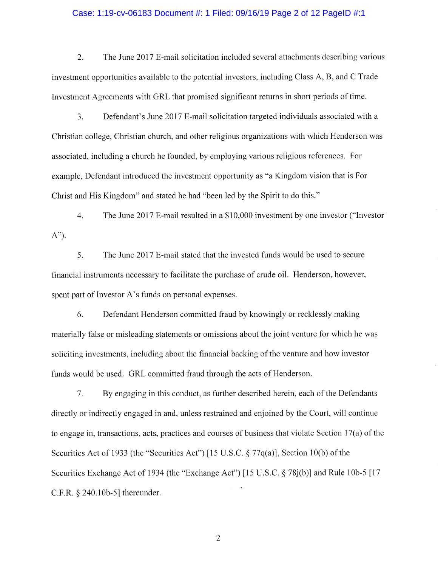## Case: 1:19-cv-06183 Document #: 1 Filed: 09/16/19 Page 2 of 12 PageID #:1

2. The June 2017 E-mail solicitation included several attachments describing various investment opportunities available to the potential investors, including Class A, B, and C Trade Investment Agreements with GRL that promised significant returns in short periods of time.

 $3<sub>1</sub>$ Defendant's June 2017 E-mail solicitation targeted individuals associated with a Christian college, Christian church, and other religious organizations with which Henderson was associated, including a church he founded, by employing various religious references. For example, Defendant introduced the investment opportunity as "a Kingdom vision that is For Christ and His Kingdom" and stated he had "been led by the Spirit to do this."

4. The June 2017 E-mail resulted in a \$10,000 investment by one investor ("Investor  $A$ ").

5. The June 2017 E-mail stated that the invested funds would be used to secure financial instruments necessary to facilitate the purchase of crude oiL Henderson, however, spent part of Investor A's funds on personal expenses.

6. Defendant Henderson committed fraud by knowingly or recklessly making materially false or misleading statements or omissions about the joint venture for which he was soliciting investments, including about the financial backing of the venture and how investor funds would be used. GRL committed fraud through the acts of Henderson.

7. By engaging in this conduct, as further described herein, each of the Defendants directly or indirectly engaged in and, unless restrained and enjoined by the Court, will continue to engage in, transactions, acts, practices and courses of business that violate Section 17(a) of the Securities Act of 1933 (the "Securities Act") [15 U.S.C.  $\S 77q(a)$ ], Section 10(b) of the Securities Exchange Act of 1934 (the "Exchange Act") [15 U.S.C.  $\S 78j(b)$ ] and Rule 10b-5 [17 C.F.R.  $\S$  240.10b-5] thereunder.

 $\overline{2}$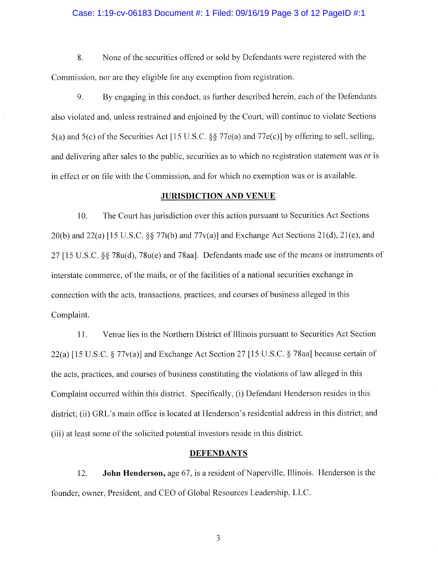## Case: 1:19-cv-06183 Document #: 1 Filed: 09/16/19 Page 3 of 12 PageID #:1

8. None of the securities offered or sold by Defendants were registered with the Commission, nor are they eligible for any exemption from registration.

9. By engaging in this conduct, as further described herein, each of the Defendants also violated and, unless restrained and enjoined by the Court, will continue to violate Sections 5(a) and 5(c) of the Securities Act [15 U.S.C. §§ 77e{a) and 77e(c)] by offering to sell, selling, and delivering after sales to the public, securities as to which no registration statement was or is in effect or on file with the Commission, and for which no exemption was or is available.

## JURISDICTION AND VENUE

10. The Court has jurisdiction over this action pursuant to Securities Aet Sections 20(b) and 22(a) [15 U.S.C.  $\S$  77t(b) and 77v(a)] and Exchange Act Sections 21(d), 21(e), and  $27$  [15 U.S.C.  $\S$  $\%$  78u(d), 78u(e) and 78aa]. Defendants made use of the means or instruments of interstate commerce, of the mails, or of the facilities of a national securities exchange in connection with the acts, transactions, practices, and courses of business alleged in this Complaint.

11. Venue lies in the Northern District of Illinois pursuant to Securities Act Section 22(a) [15 U.S.C.  $\S 77v(a)$ ] and Exchange Act Section 27 [15 U.S.C.  $\S 78aa$ ] because certain of the acts, practices, and courses of business constituting the violations of law alleged in this Complaint occurred within this district. Specifically, (i) Defendant Henderson resides in this district; (ii) GRL's main office is located at Henderson's residential address in this district; and (iii) at least some of the solicited potential investors reside in this district.

## DEFENDANTS

12. **John Henderson,** age 67, is a resident of Naperville, Illinois. Henderson is the founder, owner, President, and CEO of Global Resources Leadership, LLC.

 $\overline{\mathbf{3}}$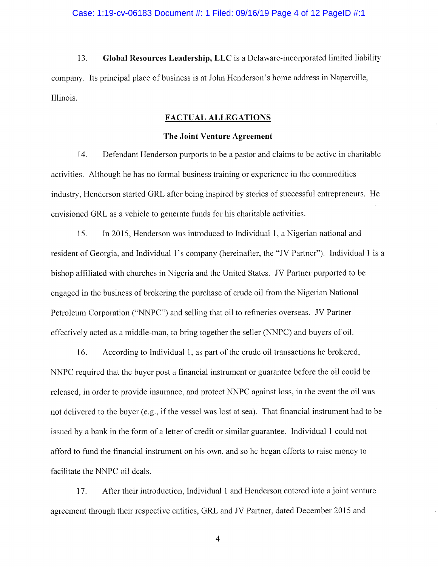## Case: 1:19-cv-06183 Document #: 1 Filed: 09/16/19 Page 4 of 12 PageID #:1

13. Global Resources Leadership, LLC is a Delaware-incorporated limited liability company. Its principal place of business is at John Ilenderson's home address in Naperville, Illinois.

## FACTUAL ALLEGATIONS

## The Joint Venture Agreement

14. Defendant Henderson purports to be a pastor and claims to be active in charitable activities. Although he has no formal business training or experience in the commodities industry, Henderson started GRL after being inspired by stories of successful entrepreneurs. He envisioned GRL as a vehicle to generate funds for his charitable activities.

15. In 2015, Henderson was introduced to Individual 1, a Nigerian national and resident of Georgia, and Individual 1's company (hereinafter, the "JV Partner"). Individual 1 is a bishop affiliated with churches in Nigeria and the United States. JV Partner purported to be engaged in the business of brokering the purchase of crude oil from the Nigerian National Petroleum Corporation ("NNPC") and selling that oil to refineries overseas. JV Partner effectively acted as a middle-n~an, to bring together the seller (NNPC) and buyers of oil.

16. According to Individual 1, as part of the crude nil transactions he brokered, NNPC required that the buyer post a financial instrument or guarantee before the oil could be released, in order to provide insurance, and protect NNPC against loss, in the event the oil was not delivered to the buyer (e.g., if the vessel was lost at sea). That financial instrument had to be issued by a bank in the form of a letter of credit or similar guarantee. Individual 1 could not afford to fund the financial instrument on his own, and so he began efforts to raise money to facilitate the NNPC oil deals.

17. After their introduction, Individual 1 and Henderson entered into a joint venture agreement through their respective entities, GRL and JV Partner, dated December 2015 and.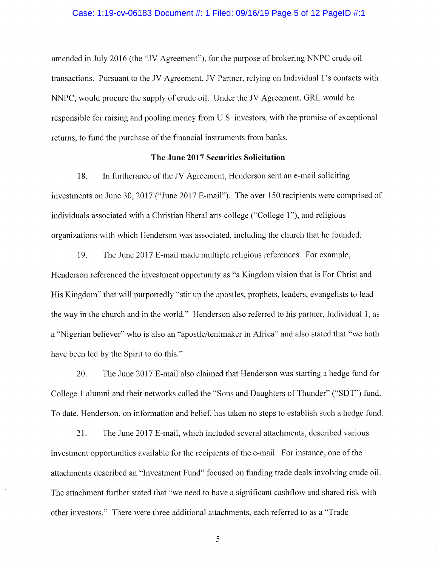## Case: 1:19-cv-06183 Document #: 1 Filed: 09/16/19 Page 5 of 12 PageID #:1

amended in July 2016 (the "JV Agreement"), for the purpose of brokering NNPC crude oil transactions. Pursuant to the JV Agreement, JV Partner, relying on Individual 1's contacts with NNPC, would procure the supply of crude oil. Under the JV Agreement, GRL would be responsible for raising and pooling money from U.S. investors, with the promise of exceptional returns, to fund the purchase of the financial instruments from banks.

## The June 2017 Securities Solicitation

1S. In furtherance of the JV Agreement, Henderson sent an e-mail soliciting investments on June 30, 2017 ("June 2017 E-mail"). The over 150 recipients were comprised of individuals associated with a Christian liberal arts college ("College 1"), and religious organizations with which Henderson was associated, including the church that he founded.

19. The June 2017 E-mail made multiple religious references. For example, Henderson referenced the investment opportunity as "a Kingdom vision that is For Christ and His Kingdom" that will purportedly "stir up the apostles, prophets, leaders, evangelists to lead the way in the church and in the world." Henderson also referred to his partner, Individual 1, as a"Nigerian believer" who is also an "apostle/tentmaker in Africa" and also stated that "we both have been led by the Spirit to do this."

20. The June 2017 E-mail also claimed that Henderson was starting a hedge fund for College 1 alumni and their networks called the "Sons and Daughters of Thunder" ("SDT") fund. To date, Henderson, on information and belief, has taken no steps to establish such a hedge fund.

21. The June 2017 E-mail, which included several attachments, described various investment opportunities available for the recipients of the e-mail. For instance, one of the attachments described an "Investment Fund" focused on funding trade deals involving crude oil. The attachment further stated that "we need to have a significant cashflow and shared risk with other investors." There were three additional attachments, each referred to as a "Trade"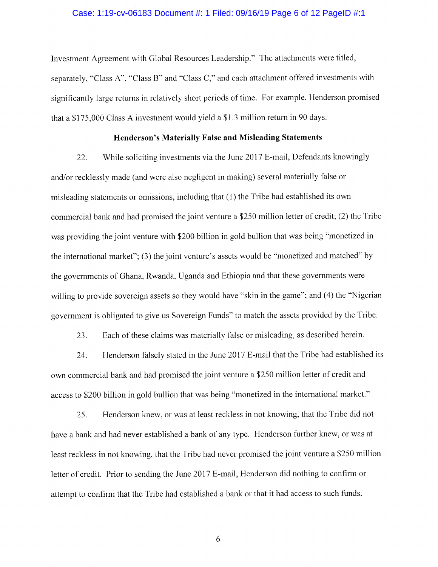## Case: 1:19-cv-06183 Document #: 1 Filed: 09/16/19 Page 6 of 12 PageID #:1

Investment Agreement with Global Resources Leadership." The attachments were titled, separately, "Class A", "Class B" and "Class C," and each attachment offered investments with significantly large returns in relatively short periods of time. For example, Henderson promised that a \$175,000 Class A investment would yield a \$1.3 million return in 90 days.

#### Henderson's Materially False and Misleading Statements

22. While soliciting investments via the June 2017 E-mail, Defendants knowingly and/or recklessly made (and were also negligent in making) several materially false or misleading statements or omissions, including that (1) the Tribe had established its own commercial bank and had promised the joint venture a \$250 million letter of credit; (2) the Tribe was providing the joint venture with \$200 billion in gold bullion that was being "monetized in the international market"; (3) the joint venture's assets would be "monetized and matched" by the governments of Ghana, Rwanda, Uganda and Ethiopia and that these governments were willing to provide sovereign assets so they would have "skin in the game"; and (4) the "Nigerian government is obligated to give us Sovereign Funds" to match the assets provided by the Tribe.

23. Each of these claims was materially false or misleading, as described herein.

24. Henderson falsely stated in the June 2017 E-mail that the Tribe had established its own commercial bank and had promised the joint venture a \$250 million letter of credit and access to \$200 billion in gold bullion that was being "monetized in the international market."

25. Henderson knew, ar was at least reckless in not knowing, that the Tribe did not have a bank and had never established a bank of any type. Henderson further knew, or was at least reckless in not knowing, that the Tribe had never promised the joint venture a \$250 million letter of credit. Prior to sending the June 2017 E-mail, Henderson did nothing to confirm or attempt to confirm that the Tribe had established a bank or that it had access to such funds.

b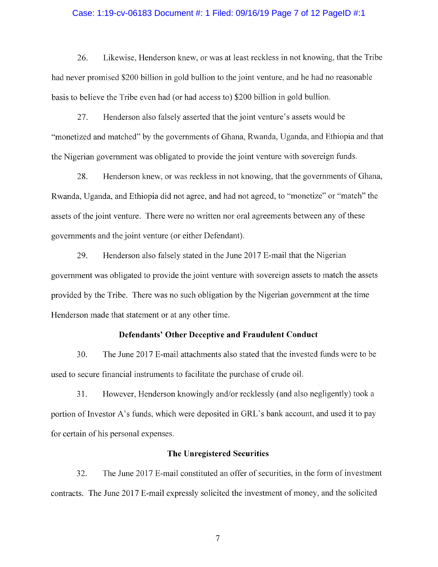## Case: 1:19-cv-06183 Document #: 1 Filed: 09/16/19 Page 7 of 12 PageID #:1

26. Likewise, Henderson knew, or was at least reckless in not knowing, that the Tribe had never promised \$200 billion in gold bullion to the joint venture, and he had no reasonable basis to believe the Tribe even had (or had access to) \$200 billion in geld bullion.

27. Henderson also falsely asserted that the joint venture's assets would be "monetized and matched" by the governments of Ghana, Rwanda, Uganda, and Ethiopia and that the Nigerian government was obligated to provide the joint venture with sovereign funds.

28. Henderson knew, or was reckless in not knowing, that the governments of Ghana, Rwanda, Uganda, and Ethiopia did not agree, and had not agreed, to "monetize" or "match" the assets of the joint venture. There were no written nor oral agreements between any of these governments and the joint venture (or either Defendant).

29. Henderson also falsely stated in the June  $2017$  E-mail that the Nigerian government was obligated to provide the joint venture with sovereign assets to match the assets provided by the Tribe. There was no such obligation by the Nigerian government at the time Henderson made that statement or at any other time.

#### Defendants' Other Deceptive and Fraudulent Conduct

30. The June 2017 E-mail attachments also stated that the invested funds were to be used to secure financial instruments to facilitate the purchase of crude oil.

31. However, Henderson knowingly and/or recklessly (arid also negligently) took a portion of Investor A's funds, which were deposited in GRL's bank account, and used it to pay for certain of his personal expenses.

## The Unregistered Securities

32. The June 2017 E-mail constituted an offer of securities, in the form of investment contracts. The June 2017 E-mail expressly solicited the investment of money, and the solicited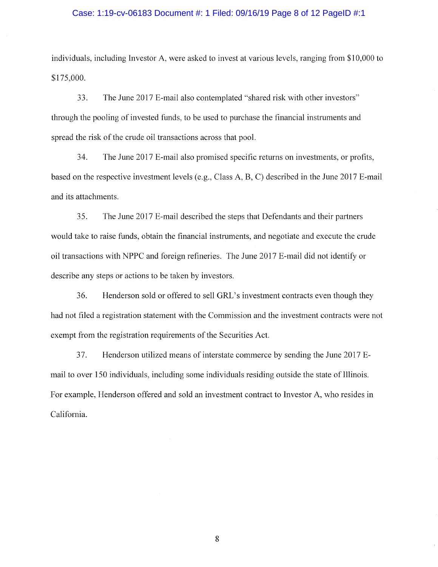## Case: 1:19-cv-06183 Document #: 1 Filed: 09/16/19 Page 8 of 12 PageID #:1

individuals, including Investor A, were asked to invest at various levels, ranging from \$10,000 to \$l 75,000.

33. The June 2017 E-mail also contemplated "shared risk with other investors" through the pooling of invested fiords, to be used to purchase the financial instruments and spread the risk of the crude oil transactions across that pool.

34. The June 2017 E-mail also promised specific returns on investments, or profits, based on the respective investment levels (e.g., Class A, B, C) described in the June 2017 E-mail and its attachments.

35. The June 2017 E-mail described the steps that Defendants and their partners would take to raise funds, obtain the financial instruments, and negotiate and execute the crude oil transactions with NPPC and foreign refineries. The June 2017 E-mail did not identify or describe any steps or actions to be taken by investors.

36. Henderson sold or offered to sell GRL's investment contracts even though they had not filed a registration statement with the Commission and the investment contracts were not exempt from the registration requirements of the Securities Act.

37. Henderson utilized means of interstate commerce by sending the June 2017 Email to over 150 individuals, including some individuals residing outside the state of Illinois. For example, Henderson offered and sold an investment contract to Investor A, who resides in California.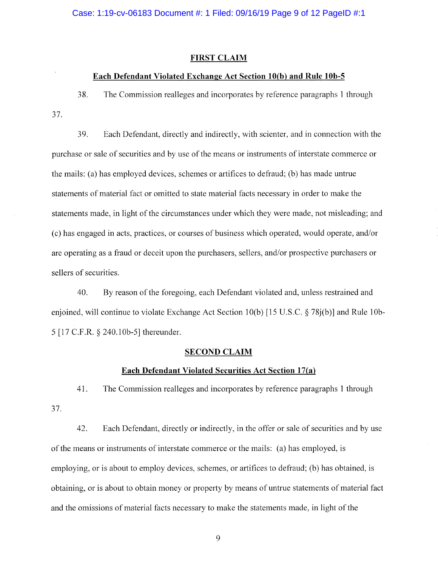#### FIRST CLAIM

## Each Defendant Violated Exchange Act Section 10(b) and Rule 10b-5

38. The Commission realleges and incorporates by reference paragraphs 1 through J7.

39. Each Defendant, directly and indirectly, with scienter, and in connection with the purchase or sale of securities and by use of the means or instruments of interstate commerce or the mails: (a) has employed devices, schemes or artifices to defraud; (b) has made untrue statements of material fact or omitted to state material facts necessary in order to make the statements made, in light of the circumstances under which they were made, not misleading; and {c) has engaged in acts, practices, or courses of business which operated, would operate, and/or are operating as a fraud or deceit upon the purchasers, sellers, and/or prospective purchasers or sellers of securities.

40. By reason of the foregoing, each Defendant violated and, unless restrained and enjoined, will continue to violate Exchange Act Section 10(b) [15 U.S.C. § 78j(b)] and Rule lOb-5 [17 C.F.R § 240.1Ob-5] thereunder.

## **SECOND CLAIM**

## Each Defendant Violated Securities Act Section 17(a)

41. The Commission realleges and incorporates by reference paragraphs 1 through 37.

42. Each Defendant, directly or indirectly, in the offer or sale of securities and by use of the means or instruments of interstate commerce or the mails: (a) has employed, is employing, or is about to employ devices, schemes, or artifices to defraud; (b) has obtained, is obtaining, or is about to obtain money or property by means of untrue statements of material fact and the omissions of material facts necessary to make the statements made, in light of the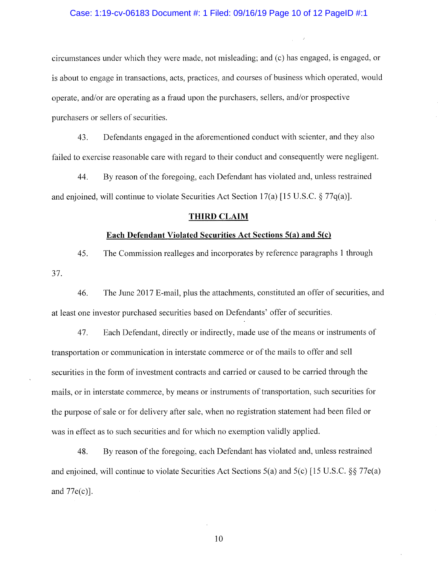## Case: 1:19-cv-06183 Document #: 1 Filed: 09/16/19 Page 10 of 12 PageID #:1

circumstances under which they were made, not misleading; and (c) has engaged, is engaged, or is about to engage in transactions, acts, practices, and courses of business which operated, would operate, and/or are operating as a fraud upon the purchasers, sellers, and/or prospective purchasers or sellers of securities.

43. Defendants engaged in the aforementioned conduct with scienter, and they also failed to exercise reasonable care with regard to their conduct and consequently were negligent.

44. By reason of the foregoing, each Defendant has violated and, unless restrained and enjoined, will continue to violate Securities Act Section 17(a) [15 U.S.C. § 77q(a)].

## THIRD CLAIM

## Each Defendant Violated Securities Act Sections  $5(a)$  and  $5(c)$

45. The Commission realleges and incorporates by reference paragraphs 1 through 37.

46. The June 2017 E-mail, plus the attachments, constituted an offer of securities, and at least one investor purchased securities based on Defendants' offer of securities.

47. Each Defendant, directly or indirectly, made use of the means or instruments of transportation or communication in interstate commerce or of the mails to offer and sell securities in the form of investment contracts and carried or caused to be carried through the mails, or in interstate commerce, by means or instruments of transportation, such securities for the purpose of sale or for delivery after sale, when no registration statement had been tiled or was in effect as to such securities and for which no exemption validly applied.

48. By reason of the foregoing, each Defendant has violated and, unless restrained and enjoined, will continue to violate Securities Act Sections  $5(a)$  and  $5(c)$  [15 U.S.C. §§ 77e(a) and  $77e(c)$ ].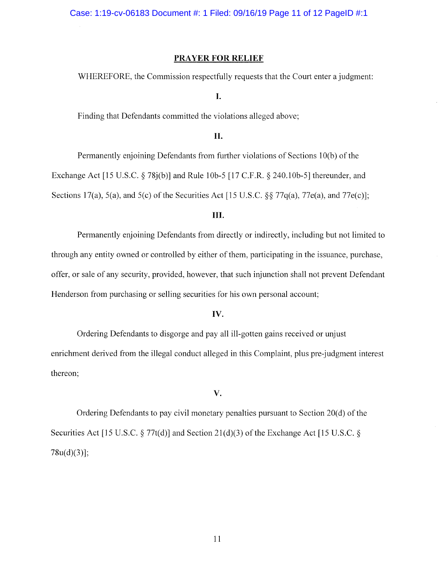## PRAYER FOR RELIEF

WHEREFORE, the Commission respectfully requests that the Court enter a judgment:

I.

Finding that Defendants committed the violations alleged above;

# lI.

Permanently enjoining Defendants from further violations of Sections 10(b) of the .Exchange Act [15 U.S.C. § 78j(b)] and Rule lOb-5 [17 C.F.R. § 240.1Ob-SJ thereunder, and Sections 17(a), 5(a), and 5(c) of the Securities Act [15 U.S.C.  $\S$  77q(a), 77e(a), and 77e(c)];

## III.

Permanently enjoining Defendants from directly or indirectly, including but not limited to through any entity owned or controlled by either of them, participating in the issuance, purchase, offer, or sale of any security, provided, however, that such injunction shall not prevent Defendant Henderson from purchasing or selling securities for his own personal account;

## IV.

Ordering Defendants to disgorge and pay all ill-gotten gains received or unjust enrichment derived from the illegal conduct alleged in this Complaint, plus pre judgment interest thereon;

### V.

Ordering Defendants to pay civil monetary penalties pursuant to Section 20(d) of the Securities Act [15 U.S.C.  $\S 77t(d)$ ] and Section 21(d)(3) of the Exchange Act [15 U.S.C.  $\S$ 78u(d)(3)];